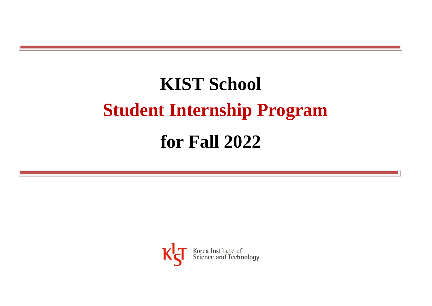# **KIST School Student Internship Program**

# **for Fall 2022**

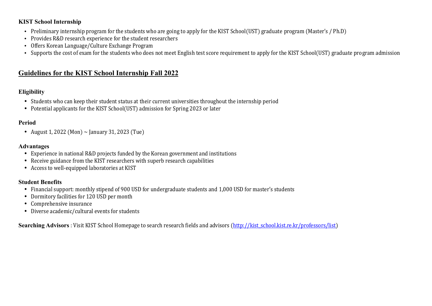#### **KIST School Internship**

- Preliminary internship program for the students who are going to apply for the KIST School(UST) graduate program (Master's / Ph.D)
- Provides R&D research experience for the student researchers
- Offers Korean Language/Culture Exchange Program
- Supports the cost of exam for the students who does not meet English test score requirement to apply for the KIST School(UST) graduate program admission

## **Guidelines for the KIST School Internship Fall 2022**

### **Eligibility**

- Students who can keep their student status at their current universities throughout the internship period
- Potential applicants for the KIST School(UST) admission for Spring 2023 or later

#### **Period**

• August 1, 2022 (Mon)  $\sim$  January 31, 2023 (Tue)

#### **Advantages**

- Experience in national R&D projects funded by the Korean government and institutions
- Receive guidance from the KIST researchers with superb research capabilities
- Access to well-equipped laboratories at KIST

#### **Student Benefits**

- Financial support: monthly stipend of 900 USD for undergraduate students and 1,000 USD for master's students
- Dormitory facilities for 120 USD per month
- Comprehensive insurance
- Diverse academic/cultural events for students

**Searching Advisors**: Visit KIST School Homepage to search research fields and advisors [\(http://kist\\_school.kist.re.kr/professors/list\)](http://kist_school.kist.re.kr/professors/list)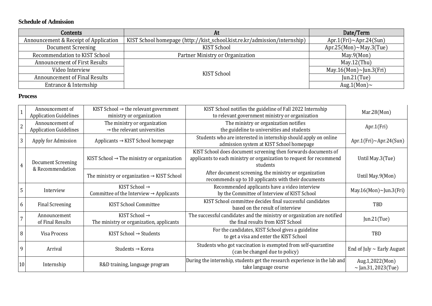#### **Schedule of Admission**

| Contents                              | At                                                                        | Date/Term                     |
|---------------------------------------|---------------------------------------------------------------------------|-------------------------------|
| Announcement & Receipt of Application | KIST School homepage (http://kist_school.kist.re.kr/admission/internship) | $Apr.1(Fri)~\sim$ Apr.24(Sun) |
| Document Screening                    | KIST School                                                               | Apr.25(Mon)~May.3(Tue)        |
| Recommendation to KIST School         | Partner Ministry or Organization                                          | May.9(Mon)                    |
| Announcement of First Results         |                                                                           | May.12(Thu)                   |
| Video Interview                       | KIST School                                                               | May.16(Mon)~Jun.3(Fri)        |
| Announcement of Final Results         |                                                                           | $Jun.21$ (Tue)                |
| Entrance & Internship                 |                                                                           | Aug.1(Mon) $\sim$             |

#### **Process**

|                | Announcement of<br><b>Application Guidelines</b> | KIST School $\rightarrow$ the relevant government<br>ministry or organization    | KIST School notifies the guideline of Fall 2022 Internship<br>to relevant government ministry or organization                                      | Mar.28(Mon)                                 |
|----------------|--------------------------------------------------|----------------------------------------------------------------------------------|----------------------------------------------------------------------------------------------------------------------------------------------------|---------------------------------------------|
| $\overline{2}$ | Announcement of<br><b>Application Guidelines</b> | The ministry or organization<br>$\rightarrow$ the relevant universities          | The ministry or organization notifies<br>the guideline to universities and students                                                                | Apr.1(Fri)                                  |
| 3              | Apply for Admission                              | Applicants → KIST School homepage                                                | Students who are interested in internship should apply on online<br>admission system at KIST School homepage                                       | Apr.1(Fri) $\sim$ Apr.24(Sun)               |
| 4              | Document Screening<br>& Recommendation           | KIST School $\rightarrow$ The ministry or organization                           | KIST School does document screening then forwards documents of<br>applicants to each ministry or organization to request for recommend<br>students | Until May.3(Tue)                            |
|                |                                                  | The ministry or organization $\rightarrow$ KIST School                           | After document screening, the ministry or organization<br>recommends up to 10 applicants with their documents                                      | Until May.9(Mon)                            |
| 5              | Interview                                        | KIST School $\rightarrow$<br>Committee of the Interview $\rightarrow$ Applicants | Recommended applicants have a video interview<br>by the Committee of Interview of KIST School                                                      | May.16(Mon)~Jun.3(Fri)                      |
| <sub>b</sub>   | <b>Final Screening</b>                           | <b>KIST School Committee</b>                                                     | KIST School committee decides final successful candidates<br>based on the result of interview                                                      | <b>TRD</b>                                  |
|                | Announcement<br>of Final Results                 | KIST School $\rightarrow$<br>The ministry or organization, applicants            | The successful candidates and the ministry or organization are notified<br>the final results from KIST School                                      | Jun.21 $(Tue)$                              |
| 8              | Visa Process                                     | KIST School $\rightarrow$ Students                                               | For the candidates, KIST School gives a guideline<br>to get a visa and enter the KIST School                                                       | TBD                                         |
| 9              | Arrival                                          | Students $\rightarrow$ Korea                                                     | Students who got vaccination is exempted from self-quarantine<br>(can be changed due to policy)                                                    | End of July $\sim$ Early August             |
| 10             | Internship                                       | R&D training, language program                                                   | During the internship, students get the research experience in the lab and<br>take language course                                                 | Aug.1,2022(Mon)<br>$\sim$ Jan.31, 2023(Tue) |